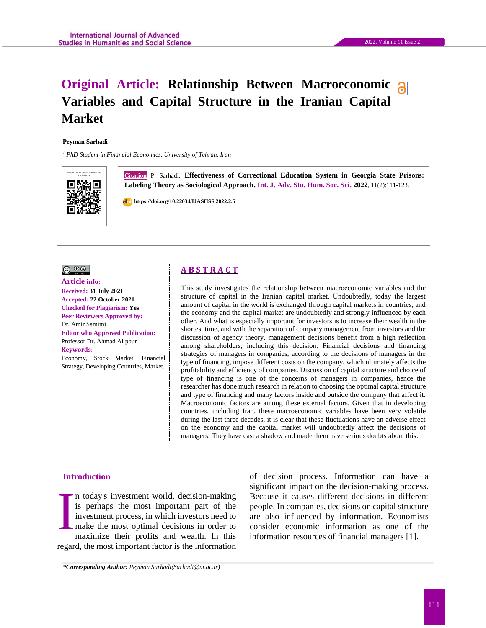# **Original Article: Relationship Between Macroeconomic Variables and Capital Structure in the Iranian Capital Market**

#### **Peyman Sarhadi**

*<sup>1</sup> PhD Student in Financial Economics, University of Tehran, Iran*



**Citation** P. Sarhadi. **Effectiveness of Correctional Education System in Georgia State Prisons: Labeling Theory as Sociological Approach. Int. J. Adv. Stu. Hum. Soc. Sci. 2022**, 11(2):111-123.

 **https://doi.org/10.22034/IJASHSS.2022.2.5**



**Article info: Received: 31 July 2021 Accepted: 22 October 2021 Checked for Plagiarism: Yes Peer Reviewers Approved by:**  Dr. Amir Samimi **Editor who Approved Publication:**  [Professor Dr. Ahmad Alipour](http://www.ijashss.com/journal/editorial.board?edbc=8091) **Keywords**:

Economy, Stock Market, Financial Strategy, Developing Countries, Market.

### **A B S T R A C T**

This study investigates the relationship between macroeconomic variables and the structure of capital in the Iranian capital market. Undoubtedly, today the largest amount of capital in the world is exchanged through capital markets in countries, and the economy and the capital market are undoubtedly and strongly influenced by each other. And what is especially important for investors is to increase their wealth in the shortest time, and with the separation of company management from investors and the discussion of agency theory, management decisions benefit from a high reflection among shareholders, including this decision. Financial decisions and financing strategies of managers in companies, according to the decisions of managers in the type of financing, impose different costs on the company, which ultimately affects the profitability and efficiency of companies. Discussion of capital structure and choice of type of financing is one of the concerns of managers in companies, hence the researcher has done much research in relation to choosing the optimal capital structure and type of financing and many factors inside and outside the company that affect it. Macroeconomic factors are among these external factors. Given that in developing countries, including Iran, these macroeconomic variables have been very volatile during the last three decades, it is clear that these fluctuations have an adverse effect on the economy and the capital market will undoubtedly affect the decisions of managers. They have cast a shadow and made them have serious doubts about this.

#### **Introduction**

n today's investment world, decision-making is perhaps the most important part of the investment process, in which investors need to make the most optimal decisions in order to maximize their profits and wealth. In this regard, the most important factor is the information I

of decision process. Information can have a significant impact on the decision-making process. Because it causes different decisions in different people. In companies, decisions on capital structure are also influenced by information. Economists consider economic information as one of the information resources of financial managers [1].

*\*Corresponding Author: Peyman Sarhadi(Sarhadi@ut.ac.ir)*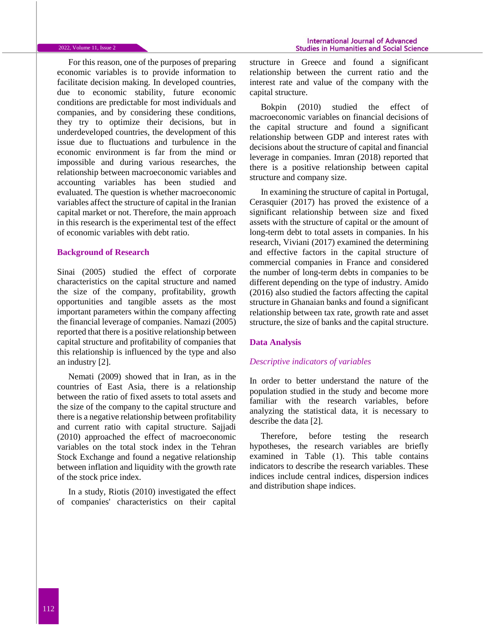#### 2022, Volume 11, Issue 2

For this reason, one of the purposes of preparing economic variables is to provide information to facilitate decision making. In developed countries, due to economic stability, future economic conditions are predictable for most individuals and companies, and by considering these conditions, they try to optimize their decisions, but in underdeveloped countries, the development of this issue due to fluctuations and turbulence in the economic environment is far from the mind or impossible and during various researches, the relationship between macroeconomic variables and accounting variables has been studied and evaluated. The question is whether macroeconomic variables affect the structure of capital in the Iranian capital market or not. Therefore, the main approach in this research is the experimental test of the effect of economic variables with debt ratio.

#### **Background of Research**

Sinai (2005) studied the effect of corporate characteristics on the capital structure and named the size of the company, profitability, growth opportunities and tangible assets as the most important parameters within the company affecting the financial leverage of companies. Namazi (2005) reported that there is a positive relationship between capital structure and profitability of companies that this relationship is influenced by the type and also an industry [2].

Nemati (2009) showed that in Iran, as in the countries of East Asia, there is a relationship between the ratio of fixed assets to total assets and the size of the company to the capital structure and there is a negative relationship between profitability and current ratio with capital structure. Sajjadi (2010) approached the effect of macroeconomic variables on the total stock index in the Tehran Stock Exchange and found a negative relationship between inflation and liquidity with the growth rate of the stock price index.

In a study, Riotis (2010) investigated the effect of companies' characteristics on their capital

structure in Greece and found a significant relationship between the current ratio and the interest rate and value of the company with the capital structure.

Bokpin (2010) studied the effect of macroeconomic variables on financial decisions of the capital structure and found a significant relationship between GDP and interest rates with decisions about the structure of capital and financial leverage in companies. Imran (2018) reported that there is a positive relationship between capital structure and company size.

In examining the structure of capital in Portugal, Cerasquier (2017) has proved the existence of a significant relationship between size and fixed assets with the structure of capital or the amount of long-term debt to total assets in companies. In his research, Viviani (2017) examined the determining and effective factors in the capital structure of commercial companies in France and considered the number of long-term debts in companies to be different depending on the type of industry. Amido (2016) also studied the factors affecting the capital structure in Ghanaian banks and found a significant relationship between tax rate, growth rate and asset structure, the size of banks and the capital structure.

### **Data Analysis**

### *Descriptive indicators of variables*

In order to better understand the nature of the population studied in the study and become more familiar with the research variables, before analyzing the statistical data, it is necessary to describe the data [2].

Therefore, before testing the research hypotheses, the research variables are briefly examined in Table (1). This table contains indicators to describe the research variables. These indices include central indices, dispersion indices and distribution shape indices.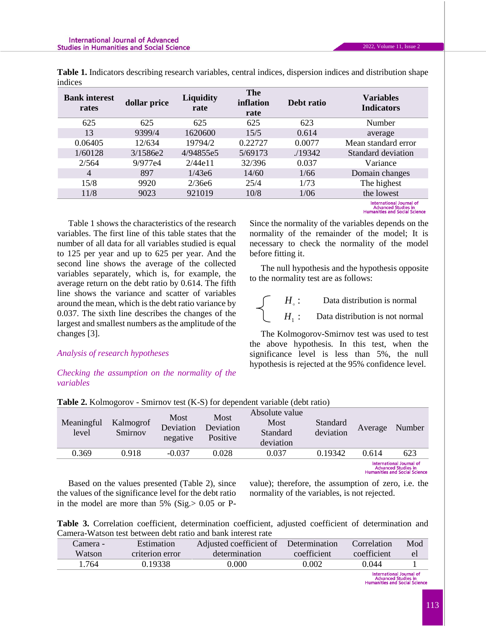|         |  |  | Table 1. Indicators describing research variables, central indices, dispersion indices and distribution shape |
|---------|--|--|---------------------------------------------------------------------------------------------------------------|
| indices |  |  |                                                                                                               |

| <b>Bank interest</b><br>rates | dollar price | <b>The</b><br><b>Liquidity</b><br>inflation<br>rate<br>rate |         | Debt ratio | <b>Variables</b><br><b>Indicators</b>                  |
|-------------------------------|--------------|-------------------------------------------------------------|---------|------------|--------------------------------------------------------|
| 625                           | 625          | 625                                                         | 625     | 623        | Number                                                 |
| 13                            | 9399/4       | 1620600                                                     | 15/5    | 0.614      | average                                                |
| 0.06405                       | 12/634       | 19794/2                                                     | 0.22727 | 0.0077     | Mean standard error                                    |
| 1/60128                       | 3/1586e2     | 4/94855e5                                                   | 5/69173 | ./19342    | Standard deviation                                     |
| 2/564                         | 9/977e4      | 2/44e11                                                     | 32/396  | 0.037      | Variance                                               |
| 4                             | 897          | 1/43e6                                                      | 14/60   | 1/66       | Domain changes                                         |
| 15/8                          | 9920         | 2/36e6                                                      | 25/4    | 1/73       | The highest                                            |
| 11/8                          | 9023         | 921019                                                      | 10/8    | 1/06       | the lowest                                             |
|                               |              |                                                             |         |            | International Journal of<br><b>Advanced Studies in</b> |

**Humanities and Social Science** 

Table 1 shows the characteristics of the research variables. The first line of this table states that the number of all data for all variables studied is equal to 125 per year and up to 625 per year. And the second line shows the average of the collected variables separately, which is, for example, the average return on the debt ratio by 0.614. The fifth line shows the variance and scatter of variables around the mean, which is the debt ratio variance by 0.037. The sixth line describes the changes of the largest and smallest numbers as the amplitude of the changes [3].

### *Analysis of research hypotheses*

### *Checking the assumption on the normality of the variables*

Since the normality of the variables depends on the normality of the remainder of the model; It is necessary to check the normality of the model before fitting it.

The null hypothesis and the hypothesis opposite to the normality test are as follows:

$$
Hs: Data distribution is normalH1: Data distribution is not normal
$$

The Kolmogorov-Smirnov test was used to test the above hypothesis. In this test, when the significance level is less than 5%, the null hypothesis is rejected at the 95% confidence level.

| Meaningful<br>level | Kalmogrof<br>Smirnov | Most<br>Deviation<br>negative | Most<br>Deviation<br>Positive | Absolute value<br>Most<br>Standard<br>deviation | Standard<br>deviation | Average | Number                                                                                  |
|---------------------|----------------------|-------------------------------|-------------------------------|-------------------------------------------------|-----------------------|---------|-----------------------------------------------------------------------------------------|
| 0.369               | 0.918                | $-0.037$                      | 0.028                         | 0.037                                           | 0.19342               | 0.614   | 623                                                                                     |
|                     |                      |                               |                               |                                                 |                       |         | International Journal of<br><b>Advanced Studies in</b><br>Humanities and Social Science |

**Table 2.** Kolmogorov - Smirnov test (K-S) for dependent variable (debt ratio)

Based on the values presented (Table 2), since the values of the significance level for the debt ratio in the model are more than  $5\%$  (Sig. $> 0.05$  or P-

value); therefore, the assumption of zero, i.e. the normality of the variables, is not rejected.

**Table 3.** Correlation coefficient, determination coefficient, adjusted coefficient of determination and Camera-Watson test between debt ratio and bank interest rate

| Camera - | Estimation      | Adjusted coefficient of | Determination | Correlation | Mod |
|----------|-----------------|-------------------------|---------------|-------------|-----|
| Watson   | criterion error | determination           | coefficient   | coefficient | el  |
| . 764    | 0.19338         | 0.000                   | 0.002         | 0.044       |     |
|          |                 |                         |               |             |     |

International Journal of<br>Advanced Studies in<br>Humanities and Social Science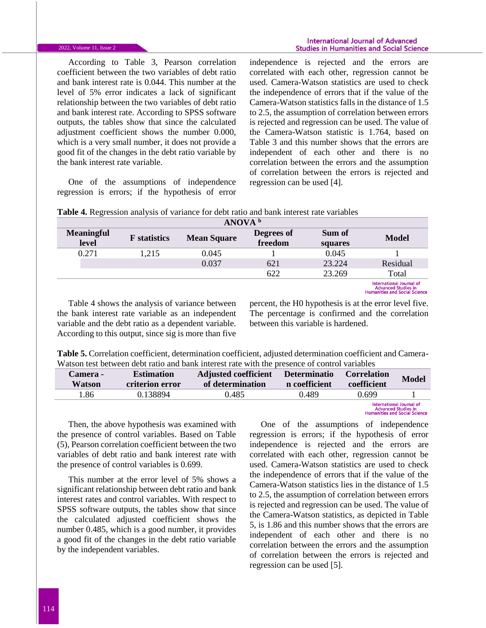According to Table 3, Pearson correlation coefficient between the two variables of debt ratio and bank interest rate is 0.044. This number at the level of 5% error indicates a lack of significant relationship between the two variables of debt ratio and bank interest rate. According to SPSS software outputs, the tables show that since the calculated adjustment coefficient shows the number 0.000, which is a very small number, it does not provide a good fit of the changes in the debt ratio variable by the bank interest rate variable.

One of the assumptions of independence regression is errors; if the hypothesis of error independence is rejected and the errors are correlated with each other, regression cannot be used. Camera-Watson statistics are used to check the independence of errors that if the value of the Camera-Watson statistics falls in the distance of 1.5 to 2.5, the assumption of correlation between errors is rejected and regression can be used. The value of the Camera-Watson statistic is 1.764, based on Table 3 and this number shows that the errors are independent of each other and there is no correlation between the errors and the assumption of correlation between the errors is rejected and regression can be used [4].

|                            | ANOVA <sup>b</sup>  |                    |                       |                   |                                                                                                |  |  |
|----------------------------|---------------------|--------------------|-----------------------|-------------------|------------------------------------------------------------------------------------------------|--|--|
| <b>Meaningful</b><br>level | <b>F</b> statistics | <b>Mean Square</b> | Degrees of<br>freedom | Sum of<br>squares | <b>Model</b>                                                                                   |  |  |
| 0.271                      | 1.215               | 0.045              |                       | 0.045             |                                                                                                |  |  |
|                            |                     | 0.037              | 621                   | 23.224            | Residual                                                                                       |  |  |
|                            |                     |                    | 622                   | 23.269            | Total                                                                                          |  |  |
|                            |                     |                    |                       |                   | International Journal of<br><b>Advanced Studies in</b><br><b>Uumanities and Cosial Science</b> |  |  |

**Table 4.** Regression analysis of variance for debt ratio and bank interest rate variables

Table 4 shows the analysis of variance between the bank interest rate variable as an independent variable and the debt ratio as a dependent variable. According to this output, since sig is more than five

percent, the H0 hypothesis is at the error level five. The percentage is confirmed and the correlation between this variable is hardened.

| Table 5. Correlation coefficient, determination coefficient, adjusted determination coefficient and Camera- |  |  |
|-------------------------------------------------------------------------------------------------------------|--|--|
| Watson test between debt ratio and bank interest rate with the presence of control variables                |  |  |

| Camera -<br>Watson | <b>Estimation</b><br>criterion error | <b>Adjusted coefficient</b><br>of determination | <b>Determinatio</b><br>n coefficient | <b>Correlation</b><br>coefficient | <b>Model</b>                                                                                   |
|--------------------|--------------------------------------|-------------------------------------------------|--------------------------------------|-----------------------------------|------------------------------------------------------------------------------------------------|
| .86                | 0.138894                             | 0.485                                           | 0.489                                | 0.699                             |                                                                                                |
|                    |                                      |                                                 |                                      |                                   | International Journal of<br><b>Advanced Studies in</b><br><b>Humanities and Social Science</b> |

Then, the above hypothesis was examined with the presence of control variables. Based on Table (5), Pearson correlation coefficient between the two variables of debt ratio and bank interest rate with the presence of control variables is 0.699.

This number at the error level of 5% shows a significant relationship between debt ratio and bank interest rates and control variables. With respect to SPSS software outputs, the tables show that since the calculated adjusted coefficient shows the number 0.485, which is a good number, it provides a good fit of the changes in the debt ratio variable by the independent variables.

One of the assumptions of independence regression is errors; if the hypothesis of error independence is rejected and the errors are correlated with each other, regression cannot be used. Camera-Watson statistics are used to check the independence of errors that if the value of the Camera-Watson statistics lies in the distance of 1.5 to 2.5, the assumption of correlation between errors is rejected and regression can be used. The value of the Camera-Watson statistics, as depicted in Table 5, is 1.86 and this number shows that the errors are independent of each other and there is no correlation between the errors and the assumption of correlation between the errors is rejected and regression can be used [5].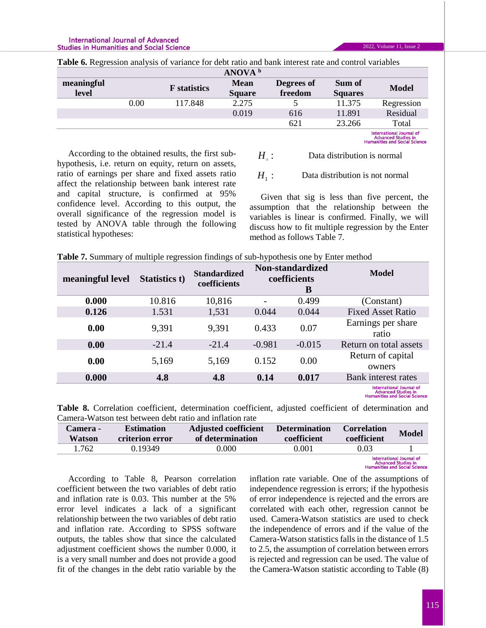statistical hypotheses:

According to the obtained results, the first subhypothesis, i.e. return on equity, return on assets, ratio of earnings per share and fixed assets ratio

|                     |      |                     | ANOVA <sup>b</sup>           |                       |                          |                                                                                                |
|---------------------|------|---------------------|------------------------------|-----------------------|--------------------------|------------------------------------------------------------------------------------------------|
| meaningful<br>level |      | <b>F</b> statistics | <b>Mean</b><br><b>Square</b> | Degrees of<br>freedom | Sum of<br><b>Squares</b> | <b>Model</b>                                                                                   |
|                     | 0.00 | 117.848             | 2.275                        |                       | 11.375                   | Regression                                                                                     |
|                     |      |                     | 0.019                        | 616                   | 11.891                   | Residual                                                                                       |
|                     |      |                     |                              | 621                   | 23.266                   | Total                                                                                          |
|                     |      |                     |                              |                       |                          | International Journal of<br><b>Advanced Studies in</b><br><b>Humanities and Social Science</b> |

**Table 6.** Regression analysis of variance for debt ratio and bank interest rate and control variables

 $H_{_\circ}$  : Data distribution is normal

> $H<sub>1</sub>$ : Data distribution is not normal

affect the relationship between bank interest rate and capital structure, is confirmed at 95% confidence level. According to this output, the overall significance of the regression model is tested by ANOVA table through the following Given that sig is less than five percent, the assumption that the relationship between the variables is linear is confirmed. Finally, we will discuss how to fit multiple regression by the Enter method as follows Table 7.

|  |  |  |  | Table 7. Summary of multiple regression findings of sub-hypothesis one by Enter method |
|--|--|--|--|----------------------------------------------------------------------------------------|
|  |  |  |  |                                                                                        |

| meaningful level | Statistics t) | <b>Standardized</b><br>coefficients | <b>Non-standardized</b><br>coefficients<br>B |          | Model                                                         |
|------------------|---------------|-------------------------------------|----------------------------------------------|----------|---------------------------------------------------------------|
| 0.000            | 10.816        | 10,816                              |                                              | 0.499    | (Constant)                                                    |
| 0.126            | 1.531         | 1,531                               | 0.044                                        | 0.044    | <b>Fixed Asset Ratio</b>                                      |
| 0.00             | 9,391         | 9,391                               | 0.433                                        | 0.07     | Earnings per share<br>ratio                                   |
| 0.00             | $-21.4$       | $-21.4$                             | $-0.981$                                     | $-0.015$ | Return on total assets                                        |
| 0.00             | 5,169         | 5,169                               | 0.152                                        | 0.00     | Return of capital<br>owners                                   |
| 0.000            | 4.8           | 4.8                                 | 0.14                                         | 0.017    | Bank interest rates                                           |
|                  |               |                                     |                                              |          | <b>International Journal of</b><br><b>Advanced Studies in</b> |

**Humanities and Social Science** 

**Table 8.** Correlation coefficient, determination coefficient, adjusted coefficient of determination and Camera-Watson test between debt ratio and inflation rate

| Camera -<br>Watson | <b>Estimation</b><br>criterion error | <b>Adjusted coefficient</b><br>of determination | <b>Determination</b><br>coefficient | <b>Correlation</b><br>coefficient | <b>Model</b>                          |
|--------------------|--------------------------------------|-------------------------------------------------|-------------------------------------|-----------------------------------|---------------------------------------|
| 1.762              | 0.19349                              | 0.000                                           | 0.001                               | 0.03                              |                                       |
|                    |                                      |                                                 |                                     |                                   | المحامل والمستحدث والمستحدث والمستحدث |

**Advanced Studies in**<br>Advanced Studies in<br>Humanities and Social Science

According to Table 8, Pearson correlation coefficient between the two variables of debt ratio and inflation rate is 0.03. This number at the 5% error level indicates a lack of a significant relationship between the two variables of debt ratio and inflation rate. According to SPSS software outputs, the tables show that since the calculated adjustment coefficient shows the number 0.000, it is a very small number and does not provide a good fit of the changes in the debt ratio variable by the

inflation rate variable. One of the assumptions of independence regression is errors; if the hypothesis of error independence is rejected and the errors are correlated with each other, regression cannot be used. Camera-Watson statistics are used to check the independence of errors and if the value of the Camera-Watson statistics falls in the distance of 1.5 to 2.5, the assumption of correlation between errors is rejected and regression can be used. The value of the Camera-Watson statistic according to Table (8)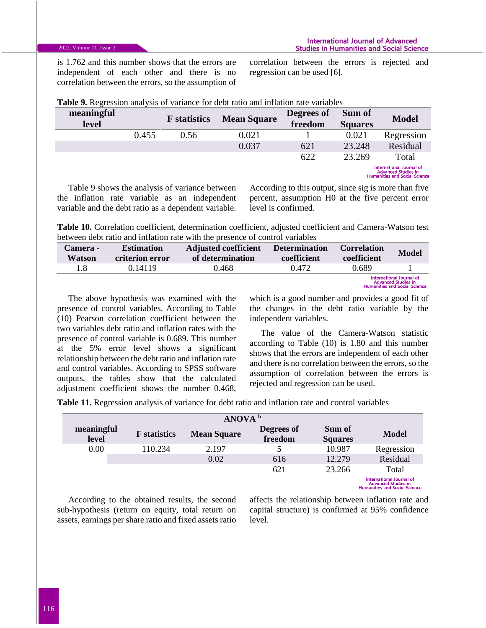is 1.762 and this number shows that the errors are independent of each other and there is no correlation between the errors, so the assumption of correlation between the errors is rejected and regression can be used [6].

| meaningful<br>level |       | <b>F</b> statistics | <b>Mean Square</b> | Degrees of<br>freedom | Sum of<br><b>Squares</b> | <b>Model</b>                                                                                   |
|---------------------|-------|---------------------|--------------------|-----------------------|--------------------------|------------------------------------------------------------------------------------------------|
|                     | 0.455 | 0.56                | 0.021              |                       | 0.021                    | Regression                                                                                     |
|                     |       |                     | 0.037              | 621                   | 23.248                   | Residual                                                                                       |
|                     |       |                     |                    | 622                   | 23.269                   | Total                                                                                          |
|                     |       |                     |                    |                       |                          | International Journal of<br><b>Advanced Studies in</b><br><b>Humanities and Social Science</b> |

**Table 9.** Regression analysis of variance for debt ratio and inflation rate variables

Table 9 shows the analysis of variance between the inflation rate variable as an independent variable and the debt ratio as a dependent variable.

According to this output, since sig is more than five percent, assumption H0 at the five percent error level is confirmed.

**Table 10.** Correlation coefficient, determination coefficient, adjusted coefficient and Camera-Watson test between debt ratio and inflation rate with the presence of control variables

| <b>Camera -</b><br>Watson | <b>Estimation</b><br>criterion error | <b>Adjusted coefficient</b><br>of determination | <b>Determination</b><br>coefficient | <b>Correlation</b><br>coefficient | <b>Model</b>                                                                                          |
|---------------------------|--------------------------------------|-------------------------------------------------|-------------------------------------|-----------------------------------|-------------------------------------------------------------------------------------------------------|
| 1.8                       | በ 14119                              | 0.468                                           | 0.472                               | 0.689                             |                                                                                                       |
|                           |                                      |                                                 |                                     |                                   | <b>International Journal of</b><br><b>Advanced Studies in</b><br><b>Humanities and Social Science</b> |

The above hypothesis was examined with the presence of control variables. According to Table (10) Pearson correlation coefficient between the two variables debt ratio and inflation rates with the presence of control variable is 0.689. This number at the 5% error level shows a significant relationship between the debt ratio and inflation rate and control variables. According to SPSS software outputs, the tables show that the calculated adjustment coefficient shows the number 0.468,

which is a good number and provides a good fit of the changes in the debt ratio variable by the independent variables.

The value of the Camera-Watson statistic according to Table (10) is 1.80 and this number shows that the errors are independent of each other and there is no correlation between the errors, so the assumption of correlation between the errors is rejected and regression can be used.

**Table 11.** Regression analysis of variance for debt ratio and inflation rate and control variables

|                     | ANOVA <sup>b</sup>  |                    |                       |                          |                                                                                                |  |  |
|---------------------|---------------------|--------------------|-----------------------|--------------------------|------------------------------------------------------------------------------------------------|--|--|
| meaningful<br>level | <b>F</b> statistics | <b>Mean Square</b> | Degrees of<br>freedom | Sum of<br><b>Squares</b> | <b>Model</b>                                                                                   |  |  |
| 0.00                | 110.234             | 2.197              |                       | 10.987                   | Regression                                                                                     |  |  |
|                     |                     | 0.02               | 616                   | 12.279                   | Residual                                                                                       |  |  |
|                     |                     |                    | 621                   | 23.266                   | Total                                                                                          |  |  |
|                     |                     |                    |                       |                          | International Journal of<br><b>Advanced Studies in</b><br><b>Uumanities and Cosial Crionse</b> |  |  |

According to the obtained results, the second sub-hypothesis (return on equity, total return on assets, earnings per share ratio and fixed assets ratio

affects the relationship between inflation rate and capital structure) is confirmed at 95% confidence level.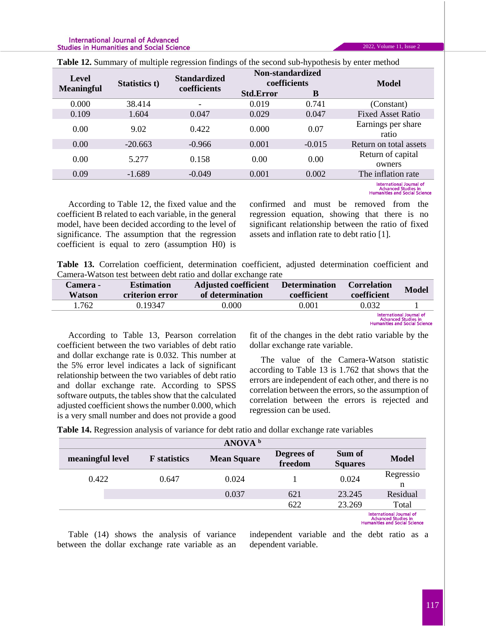#### **International Journal of Advanced Studies in Humanities and Social Science**

| <b>Level</b><br><b>Meaningful</b> | Statistics t) | <b>Standardized</b><br>coefficients | Non-standardized<br>coefficients |          | <b>Model</b>                    |  |  |
|-----------------------------------|---------------|-------------------------------------|----------------------------------|----------|---------------------------------|--|--|
|                                   |               |                                     | <b>Std.Error</b>                 | B        |                                 |  |  |
| 0.000                             | 38.414        |                                     | 0.019                            | 0.741    | (Constant)                      |  |  |
| 0.109                             | 1.604         | 0.047                               | 0.029                            | 0.047    | <b>Fixed Asset Ratio</b>        |  |  |
| 0.00                              | 9.02          | 0.422                               | 0.000                            | 0.07     | Earnings per share<br>ratio     |  |  |
| 0.00                              | $-20.663$     | $-0.966$                            | 0.001                            | $-0.015$ | Return on total assets          |  |  |
| 0.00                              | 5.277         | 0.158                               | 0.00                             | 0.00     | Return of capital<br>owners     |  |  |
| 0.09                              | $-1.689$      | $-0.049$                            | 0.001                            | 0.002    | The inflation rate              |  |  |
|                                   |               |                                     |                                  |          | <b>International Journal of</b> |  |  |

**Table 12.** Summary of multiple regression findings of the second sub-hypothesis by enter method

Advanced Studies in<br>Humanities and Social Science

2022, Volume 11, Issue 2

According to Table 12, the fixed value and the coefficient B related to each variable, in the general model, have been decided according to the level of significance. The assumption that the regression coefficient is equal to zero (assumption H0) is

confirmed and must be removed from the regression equation, showing that there is no significant relationship between the ratio of fixed assets and inflation rate to debt ratio [1].

**Table 13.** Correlation coefficient, determination coefficient, adjusted determination coefficient and Camera-Watson test between debt ratio and dollar exchange rate

| Camera -<br>Watson | <b>Adjusted coefficient</b><br><b>Estimation</b><br>of determination<br>criterion error |       | <b>Determination</b><br>coefficient | <b>Correlation</b><br>coefficient | <b>Model</b>             |
|--------------------|-----------------------------------------------------------------------------------------|-------|-------------------------------------|-----------------------------------|--------------------------|
| 1.762              | 0.19347                                                                                 | 0.000 | 0.001                               | 0.032                             |                          |
|                    |                                                                                         |       |                                     |                                   | International Journal of |

Advanced Studies in<br>Humanities and Social Science

According to Table 13, Pearson correlation coefficient between the two variables of debt ratio and dollar exchange rate is 0.032. This number at the 5% error level indicates a lack of significant relationship between the two variables of debt ratio and dollar exchange rate. According to SPSS software outputs, the tables show that the calculated adjusted coefficient shows the number 0.000, which is a very small number and does not provide a good

fit of the changes in the debt ratio variable by the dollar exchange rate variable.

The value of the Camera-Watson statistic according to Table 13 is 1.762 that shows that the errors are independent of each other, and there is no correlation between the errors, so the assumption of correlation between the errors is rejected and regression can be used.

**Table 14.** Regression analysis of variance for debt ratio and dollar exchange rate variables

|                  |                     | ANOVA <sup>b</sup> |                       |                          |                                                                                                       |
|------------------|---------------------|--------------------|-----------------------|--------------------------|-------------------------------------------------------------------------------------------------------|
| meaningful level | <b>F</b> statistics | <b>Mean Square</b> | Degrees of<br>freedom | Sum of<br><b>Squares</b> | <b>Model</b>                                                                                          |
| 0.422            | 0.647               | 0.024              |                       | 0.024                    | Regressio<br>n                                                                                        |
|                  |                     | 0.037              | 621                   | 23.245                   | Residual                                                                                              |
|                  |                     |                    | 622                   | 23.269                   | Total                                                                                                 |
|                  |                     |                    |                       |                          | <b>International Journal of</b><br><b>Advanced Studies in</b><br><b>Humanities and Social Science</b> |

Table (14) shows the analysis of variance between the dollar exchange rate variable as an

independent variable and the debt ratio as a dependent variable.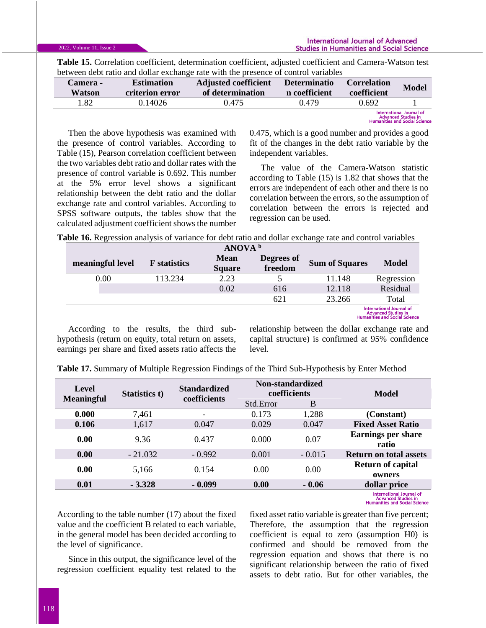**Table 15.** Correlation coefficient, determination coefficient, adjusted coefficient and Camera-Watson test between debt ratio and dollar exchange rate with the presence of control variables

| Camera -<br>Watson | <b>Estimation</b><br>criterion error | <b>Adjusted coefficient</b><br>of determination | <b>Determinatio</b><br>n coefficient | <b>Correlation</b><br>coefficient | <b>Model</b>                                           |
|--------------------|--------------------------------------|-------------------------------------------------|--------------------------------------|-----------------------------------|--------------------------------------------------------|
| .82                | 0.14026                              | 0.475                                           | 0.479                                | 0.692                             |                                                        |
|                    |                                      |                                                 |                                      |                                   | International Journal of<br><b>Advanced Studies in</b> |

**Humanities and Social Science** 

Then the above hypothesis was examined with the presence of control variables. According to Table (15), Pearson correlation coefficient between the two variables debt ratio and dollar rates with the presence of control variable is 0.692. This number at the 5% error level shows a significant relationship between the debt ratio and the dollar exchange rate and control variables. According to SPSS software outputs, the tables show that the calculated adjustment coefficient shows the number 0.475, which is a good number and provides a good fit of the changes in the debt ratio variable by the independent variables.

The value of the Camera-Watson statistic according to Table (15) is 1.82 that shows that the errors are independent of each other and there is no correlation between the errors, so the assumption of correlation between the errors is rejected and regression can be used.

**Table 16.** Regression analysis of variance for debt ratio and dollar exchange rate and control variables

| ANOVA <sup>b</sup> |                     |                              |                       |                       |                                                                                                |  |
|--------------------|---------------------|------------------------------|-----------------------|-----------------------|------------------------------------------------------------------------------------------------|--|
| meaningful level   | <b>F</b> statistics | <b>Mean</b><br><b>Square</b> | Degrees of<br>freedom | <b>Sum of Squares</b> | <b>Model</b>                                                                                   |  |
| 0.00               | 113.234             | 2.23                         |                       | 11.148                | Regression                                                                                     |  |
|                    |                     | 0.02                         | 616                   | 12.118                | Residual                                                                                       |  |
|                    |                     |                              | 621                   | 23.266                | Total                                                                                          |  |
|                    |                     |                              |                       |                       | International Journal of<br><b>Advanced Studies in</b><br><b>Humanities and Social Science</b> |  |

According to the results, the third subhypothesis (return on equity, total return on assets, earnings per share and fixed assets ratio affects the

relationship between the dollar exchange rate and capital structure) is confirmed at 95% confidence level.

**Table 17.** Summary of Multiple Regression Findings of the Third Sub-Hypothesis by Enter Method

| Level<br><b>Meaningful</b> | <b>Standardized</b><br>Statistics t)<br>coefficients |                          | Non-standardized<br>coefficients |          | Model                              |  |
|----------------------------|------------------------------------------------------|--------------------------|----------------------------------|----------|------------------------------------|--|
|                            |                                                      |                          | Std.Error                        | B        |                                    |  |
| 0.000                      | 7,461                                                | $\overline{\phantom{0}}$ | 0.173                            | 1,288    | (Constant)                         |  |
| 0.106                      | 1,617                                                | 0.047                    | 0.029                            | 0.047    | <b>Fixed Asset Ratio</b>           |  |
| 0.00                       | 9.36                                                 | 0.437                    | 0.000                            | 0.07     | <b>Earnings per share</b><br>ratio |  |
| 0.00                       | $-21.032$                                            | $-0.992$                 | 0.001                            | $-0.015$ | <b>Return on total assets</b>      |  |
| 0.00                       | 5,166                                                | 0.154                    | 0.00                             | 0.00     | <b>Return of capital</b><br>owners |  |
| 0.01                       | $-3.328$                                             | $-0.099$                 | 0.00                             | $-0.06$  | dollar price                       |  |
|                            |                                                      |                          |                                  |          | <b>International Journal of</b>    |  |

Advanced Studies in<br>Humanities and Social Science

According to the table number (17) about the fixed value and the coefficient B related to each variable, in the general model has been decided according to the level of significance.

Since in this output, the significance level of the regression coefficient equality test related to the fixed asset ratio variable is greater than five percent; Therefore, the assumption that the regression coefficient is equal to zero (assumption H0) is confirmed and should be removed from the regression equation and shows that there is no significant relationship between the ratio of fixed assets to debt ratio. But for other variables, the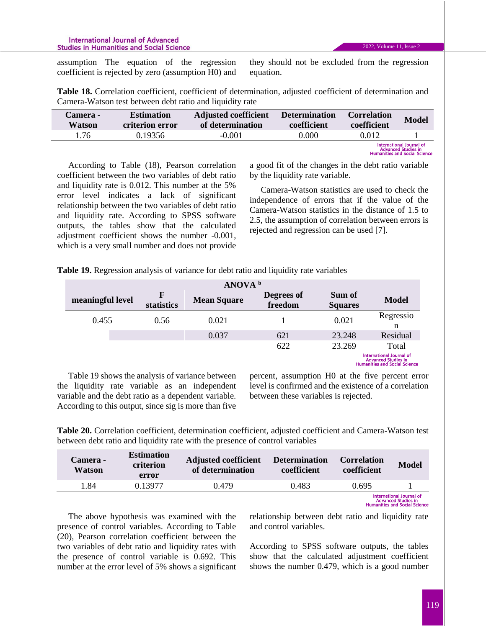#### **International Journal of Advanced Studies in Humanities and Social Science**

assumption The equation of the regression coefficient is rejected by zero (assumption H0) and they should not be excluded from the regression equation.

**Table 18.** Correlation coefficient, coefficient of determination, adjusted coefficient of determination and Camera-Watson test between debt ratio and liquidity rate

| <b>Camera -</b><br>Watson | <b>Estimation</b><br>criterion error | <b>Adjusted coefficient</b><br>of determination | <b>Determination</b><br>coefficient | <b>Correlation</b><br>coefficient | <b>Model</b>                                                                                   |
|---------------------------|--------------------------------------|-------------------------------------------------|-------------------------------------|-----------------------------------|------------------------------------------------------------------------------------------------|
| 1.76                      | 0.19356                              | $-0.001$                                        | 0.000                               | 0.012                             |                                                                                                |
|                           |                                      |                                                 |                                     |                                   | International Journal of<br><b>Advanced Studies in</b><br><b>Uumanities and Casial Ceinnea</b> |

According to Table (18), Pearson correlation coefficient between the two variables of debt ratio and liquidity rate is 0.012. This number at the 5% error level indicates a lack of significant relationship between the two variables of debt ratio and liquidity rate. According to SPSS software outputs, the tables show that the calculated adjustment coefficient shows the number -0.001, which is a very small number and does not provide a good fit of the changes in the debt ratio variable by the liquidity rate variable.

Camera-Watson statistics are used to check the independence of errors that if the value of the Camera-Watson statistics in the distance of 1.5 to 2.5, the assumption of correlation between errors is rejected and regression can be used [7].

|                  | ANOVA <sup>b</sup> |                           |                    |                       |                          |                                                                                                       |  |
|------------------|--------------------|---------------------------|--------------------|-----------------------|--------------------------|-------------------------------------------------------------------------------------------------------|--|
| meaningful level |                    | $\mathbf F$<br>statistics | <b>Mean Square</b> | Degrees of<br>freedom | Sum of<br><b>Squares</b> | <b>Model</b>                                                                                          |  |
| 0.455            |                    | 0.56                      | 0.021              |                       | 0.021                    | Regressio<br>n                                                                                        |  |
|                  |                    |                           | 0.037              | 621                   | 23.248                   | Residual                                                                                              |  |
|                  |                    |                           |                    | 622                   | 23.269                   | Total                                                                                                 |  |
|                  |                    |                           |                    |                       |                          | <b>International Journal of</b><br><b>Advanced Studies in</b><br><b>Humanities and Social Science</b> |  |

Table 19 shows the analysis of variance between the liquidity rate variable as an independent variable and the debt ratio as a dependent variable. According to this output, since sig is more than five

percent, assumption H0 at the five percent error level is confirmed and the existence of a correlation between these variables is rejected.

**Table 20.** Correlation coefficient, determination coefficient, adjusted coefficient and Camera-Watson test between debt ratio and liquidity rate with the presence of control variables

| <b>Camera -</b><br>Watson | <b>Estimation</b><br>criterion<br>error | <b>Adjusted coefficient</b><br>of determination | <b>Determination</b><br>coefficient | <b>Correlation</b><br>coefficient | <b>Model</b>                                                                                   |
|---------------------------|-----------------------------------------|-------------------------------------------------|-------------------------------------|-----------------------------------|------------------------------------------------------------------------------------------------|
| 1.84                      | 0.13977                                 | 0.479                                           | 0.483                               | 0.695                             |                                                                                                |
|                           |                                         |                                                 |                                     |                                   | International Journal of<br><b>Advanced Studies in</b><br><b>Humanities and Social Science</b> |

The above hypothesis was examined with the presence of control variables. According to Table (20), Pearson correlation coefficient between the two variables of debt ratio and liquidity rates with the presence of control variable is 0.692. This number at the error level of 5% shows a significant

relationship between debt ratio and liquidity rate and control variables.

According to SPSS software outputs, the tables show that the calculated adjustment coefficient shows the number 0.479, which is a good number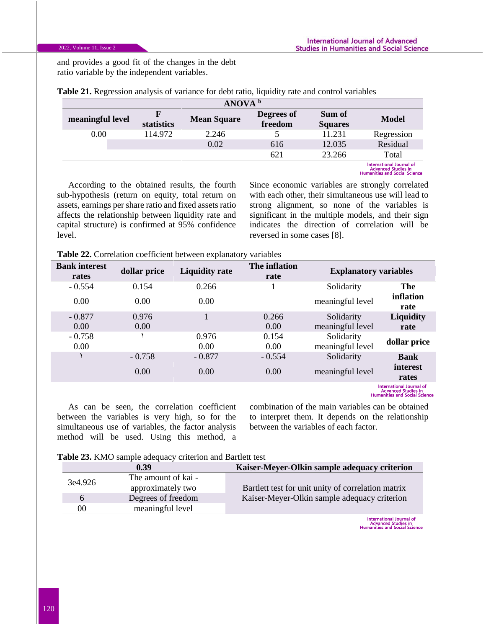and provides a good fit of the changes in the debt ratio variable by the independent variables.

| ANOVA <sup>b</sup> |            |                    |                       |                          |                                                                                                |
|--------------------|------------|--------------------|-----------------------|--------------------------|------------------------------------------------------------------------------------------------|
| meaningful level   | statistics | <b>Mean Square</b> | Degrees of<br>freedom | Sum of<br><b>Squares</b> | <b>Model</b>                                                                                   |
| $0.00\,$           | 114.972    | 2.246              |                       | 11.231                   | Regression                                                                                     |
|                    |            | 0.02               | 616                   | 12.035                   | Residual                                                                                       |
|                    |            |                    | 621                   | 23.266                   | Total                                                                                          |
|                    |            |                    |                       |                          | International Journal of<br><b>Advanced Studies in</b><br><b>Humanities and Social Science</b> |

**Table 21.** Regression analysis of variance for debt ratio, liquidity rate and control variables

According to the obtained results, the fourth sub-hypothesis (return on equity, total return on assets, earnings per share ratio and fixed assets ratio affects the relationship between liquidity rate and capital structure) is confirmed at 95% confidence level.

Since economic variables are strongly correlated with each other, their simultaneous use will lead to strong alignment, so none of the variables is significant in the multiple models, and their sign indicates the direction of correlation will be reversed in some cases [8].

**Table 22.** Correlation coefficient between explanatory variables

|                                                     | <b>Explanatory variables</b> | The inflation<br>rate | <b>Liquidity rate</b> | dollar price | <b>Bank interest</b><br>rates |
|-----------------------------------------------------|------------------------------|-----------------------|-----------------------|--------------|-------------------------------|
| The                                                 | Solidarity                   |                       | 0.266                 | 0.154        | $-0.554$                      |
| inflation<br>rate                                   | meaningful level             |                       | 0.00                  | 0.00         | 0.00                          |
| <b>Liquidity</b>                                    | Solidarity                   | 0.266                 |                       | 0.976        | $-0.877$                      |
| rate                                                | meaningful level             | 0.00                  |                       | 0.00         | 0.00                          |
|                                                     | Solidarity                   | 0.154                 | 0.976                 |              | $-0.758$                      |
| dollar price                                        | meaningful level             | 0.00                  | 0.00                  |              | 0.00                          |
| <b>Bank</b>                                         | Solidarity                   | $-0.554$              | $-0.877$              | $-0.758$     |                               |
| interest                                            | meaningful level             | 0.00                  | 0.00                  | 0.00         |                               |
| rates                                               |                              |                       |                       |              |                               |
| International Journal of<br>Andrews and Canadian in |                              |                       |                       |              |                               |

Advanced Studies in<br>Humanities and Social Science

As can be seen, the correlation coefficient between the variables is very high, so for the simultaneous use of variables, the factor analysis method will be used. Using this method, a combination of the main variables can be obtained to interpret them. It depends on the relationship between the variables of each factor.

| 0.39    |                     | Kaiser-Meyer-Olkin sample adequacy criterion       |  |  |
|---------|---------------------|----------------------------------------------------|--|--|
| 3e4.926 | The amount of kai - |                                                    |  |  |
|         | approximately two   | Bartlett test for unit unity of correlation matrix |  |  |
| 6       | Degrees of freedom  | Kaiser-Meyer-Olkin sample adequacy criterion       |  |  |
| 00      | meaningful level    |                                                    |  |  |

International Journal of<br>Advanced Studies in<br>Humanities and Social Science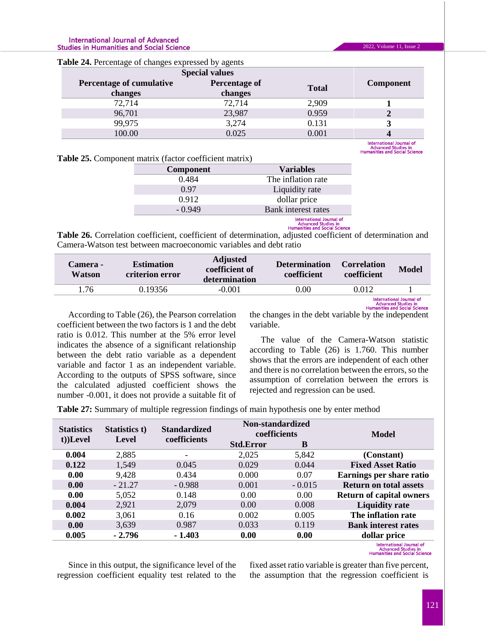#### **International Journal of Advanced Studies in Humanities and Social Science**

| <b>rable 24.</b> I creditage of changes expressed by agents |                  |              |                          |  |  |
|-------------------------------------------------------------|------------------|--------------|--------------------------|--|--|
| <b>Special values</b>                                       |                  |              |                          |  |  |
| Percentage of cumulative                                    | <b>Component</b> |              |                          |  |  |
| changes                                                     | changes          | <b>Total</b> |                          |  |  |
| 72,714                                                      | 72,714           | 2,909        |                          |  |  |
| 96,701                                                      | 23,987           | 0.959        |                          |  |  |
| 99,975                                                      | 3,274            | 0.131        |                          |  |  |
| 100.00                                                      | 0.025            | 0.001        |                          |  |  |
|                                                             |                  |              | International Journal of |  |  |

**Table 24.** Percentage of changes expressed by agents

Advanced Studies in<br>Humanities and Social Science

2022, Volume 11, Issue 2

| <b>Table 25.</b> Component matrix (factor coefficient matrix) |  |
|---------------------------------------------------------------|--|
|---------------------------------------------------------------|--|

| <b>Component</b> | <b>Variables</b>         |
|------------------|--------------------------|
| 0.484            | The inflation rate       |
| 0.97             | Liquidity rate           |
| 0.912            | dollar price             |
| $-0.949$         | Bank interest rates      |
|                  | International Iournal of |

# **Manufacturity Community**<br>Advanced Studies in<br>Humanities and Social Science

**Table 26.** Correlation coefficient, coefficient of determination, adjusted coefficient of determination and Camera-Watson test between macroeconomic variables and debt ratio

| <b>Camera -</b><br>Watson | <b>Estimation</b><br>criterion error | <b>Adjusted</b><br>coefficient of<br>determination | <b>Determination</b><br><b>coefficient</b> | <b>Correlation</b><br>coefficient | <b>Model</b> |
|---------------------------|--------------------------------------|----------------------------------------------------|--------------------------------------------|-----------------------------------|--------------|
| .76                       | 0.19356                              | $-0.001$                                           | 0.00                                       | 0.012                             |              |
|                           |                                      |                                                    |                                            |                                   |              |

According to Table (26), the Pearson correlation coefficient between the two factors is 1 and the debt ratio is 0.012. This number at the 5% error level indicates the absence of a significant relationship between the debt ratio variable as a dependent variable and factor 1 as an independent variable. According to the outputs of SPSS software, since the calculated adjusted coefficient shows the number -0.001, it does not provide a suitable fit of

International Journal of<br>Advanced Studies in<br>the changes in the debt variable by the independent variable.

The value of the Camera-Watson statistic according to Table (26) is 1.760. This number shows that the errors are independent of each other and there is no correlation between the errors, so the assumption of correlation between the errors is rejected and regression can be used.

**Table 27:** Summary of multiple regression findings of main hypothesis one by enter method

| <b>Statistics</b><br>t))Level | Statistics t)<br>Level | <b>Standardized</b><br>coefficients | Non-standardized<br>coefficients |          | Model                           |  |
|-------------------------------|------------------------|-------------------------------------|----------------------------------|----------|---------------------------------|--|
|                               |                        |                                     | <b>Std.Error</b>                 | B        |                                 |  |
| 0.004                         | 2,885                  | -                                   | 2,025                            | 5,842    | (Constant)                      |  |
| 0.122                         | 1,549                  | 0.045                               | 0.029                            | 0.044    | <b>Fixed Asset Ratio</b>        |  |
| 0.00                          | 9,428                  | 0.434                               | 0.000                            | 0.07     | Earnings per share ratio        |  |
| 0.00                          | $-21.27$               | $-0.988$                            | 0.001                            | $-0.015$ | <b>Return on total assets</b>   |  |
| 0.00                          | 5,052                  | 0.148                               | 0.00                             | 0.00     | <b>Return of capital owners</b> |  |
| 0.004                         | 2,921                  | 2,079                               | 0.00                             | 0.008    | <b>Liquidity rate</b>           |  |
| 0.002                         | 3,061                  | 0.16                                | 0.002                            | 0.005    | The inflation rate              |  |
| 0.00                          | 3,639                  | 0.987                               | 0.033                            | 0.119    | <b>Bank interest rates</b>      |  |
| 0.005                         | $-2.796$               | $-1.403$                            | 0.00                             | 0.00     | dollar price                    |  |
|                               |                        |                                     |                                  |          | International Internal of       |  |

International Journal of<br>Advanced Studies in<br>Humanities and Social Science

Since in this output, the significance level of the regression coefficient equality test related to the fixed asset ratio variable is greater than five percent, the assumption that the regression coefficient is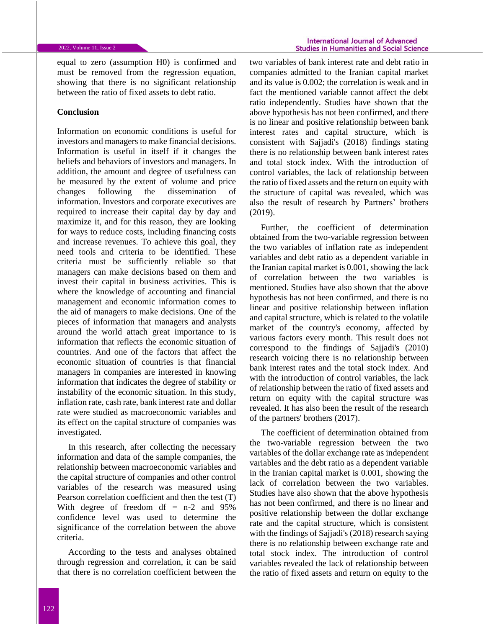equal to zero (assumption H0) is confirmed and must be removed from the regression equation, showing that there is no significant relationship between the ratio of fixed assets to debt ratio.

### **Conclusion**

Information on economic conditions is useful for investors and managers to make financial decisions. Information is useful in itself if it changes the beliefs and behaviors of investors and managers. In addition, the amount and degree of usefulness can be measured by the extent of volume and price changes following the dissemination of information. Investors and corporate executives are required to increase their capital day by day and maximize it, and for this reason, they are looking for ways to reduce costs, including financing costs and increase revenues. To achieve this goal, they need tools and criteria to be identified. These criteria must be sufficiently reliable so that managers can make decisions based on them and invest their capital in business activities. This is where the knowledge of accounting and financial management and economic information comes to the aid of managers to make decisions. One of the pieces of information that managers and analysts around the world attach great importance to is information that reflects the economic situation of countries. And one of the factors that affect the economic situation of countries is that financial managers in companies are interested in knowing information that indicates the degree of stability or instability of the economic situation. In this study, inflation rate, cash rate, bank interest rate and dollar rate were studied as macroeconomic variables and its effect on the capital structure of companies was investigated.

In this research, after collecting the necessary information and data of the sample companies, the relationship between macroeconomic variables and the capital structure of companies and other control variables of the research was measured using Pearson correlation coefficient and then the test (T) With degree of freedom df = n-2 and 95% confidence level was used to determine the significance of the correlation between the above criteria.

According to the tests and analyses obtained through regression and correlation, it can be said that there is no correlation coefficient between the

two variables of bank interest rate and debt ratio in companies admitted to the Iranian capital market and its value is 0.002; the correlation is weak and in fact the mentioned variable cannot affect the debt ratio independently. Studies have shown that the above hypothesis has not been confirmed, and there is no linear and positive relationship between bank interest rates and capital structure, which is consistent with Sajjadi's (2018) findings stating there is no relationship between bank interest rates and total stock index. With the introduction of control variables, the lack of relationship between the ratio of fixed assets and the return on equity with the structure of capital was revealed, which was also the result of research by Partners' brothers (2019).

Further, the coefficient of determination obtained from the two-variable regression between the two variables of inflation rate as independent variables and debt ratio as a dependent variable in the Iranian capital market is 0.001, showing the lack of correlation between the two variables is mentioned. Studies have also shown that the above hypothesis has not been confirmed, and there is no linear and positive relationship between inflation and capital structure, which is related to the volatile market of the country's economy, affected by various factors every month. This result does not correspond to the findings of Sajjadi's (2010) research voicing there is no relationship between bank interest rates and the total stock index. And with the introduction of control variables, the lack of relationship between the ratio of fixed assets and return on equity with the capital structure was revealed. It has also been the result of the research of the partners' brothers (2017).

The coefficient of determination obtained from the two-variable regression between the two variables of the dollar exchange rate as independent variables and the debt ratio as a dependent variable in the Iranian capital market is 0.001, showing the lack of correlation between the two variables. Studies have also shown that the above hypothesis has not been confirmed, and there is no linear and positive relationship between the dollar exchange rate and the capital structure, which is consistent with the findings of Sajjadi's (2018) research saying there is no relationship between exchange rate and total stock index. The introduction of control variables revealed the lack of relationship between the ratio of fixed assets and return on equity to the